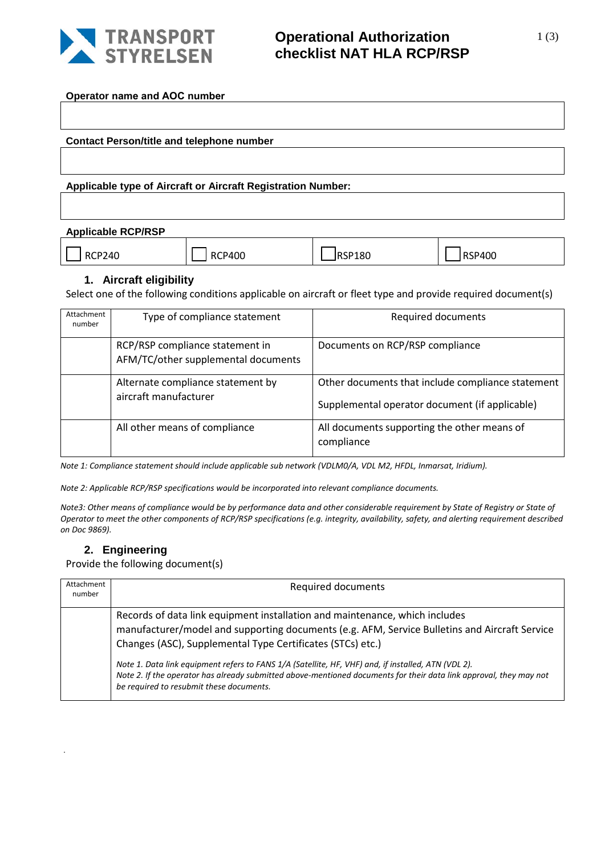

### **Operational Authorization checklist NAT HLA RCP/RSP**

**Operator name and AOC number**

**Contact Person/title and telephone number**

**Applicable type of Aircraft or Aircraft Registration Number:**

| <b>Applicable RCP/RSP</b> |               |        |               |
|---------------------------|---------------|--------|---------------|
| <b>RCP240</b>             | <b>RCP400</b> | RSP180 | <b>RSP400</b> |

#### **1. Aircraft eligibility**

Select one of the following conditions applicable on aircraft or fleet type and provide required document(s)

| Attachment<br>number | Type of compliance statement                                           | Required documents                                                                                  |
|----------------------|------------------------------------------------------------------------|-----------------------------------------------------------------------------------------------------|
|                      | RCP/RSP compliance statement in<br>AFM/TC/other supplemental documents | Documents on RCP/RSP compliance                                                                     |
|                      | Alternate compliance statement by<br>aircraft manufacturer             | Other documents that include compliance statement<br>Supplemental operator document (if applicable) |
|                      | All other means of compliance                                          | All documents supporting the other means of<br>compliance                                           |

*Note 1: Compliance statement should include applicable sub network (VDLM0/A, VDL M2, HFDL, Inmarsat, Iridium).*

*Note 2: Applicable RCP/RSP specifications would be incorporated into relevant compliance documents.*

*Note3: Other means of compliance would be by performance data and other considerable requirement by State of Registry or State of Operator to meet the other components of RCP/RSP specifications (e.g. integrity, availability, safety, and alerting requirement described on Doc 9869).*

### **2. Engineering**

.

Provide the following document(s)

| Attachment<br>number | <b>Required documents</b>                                                                                                                                                                                                                                             |
|----------------------|-----------------------------------------------------------------------------------------------------------------------------------------------------------------------------------------------------------------------------------------------------------------------|
|                      | Records of data link equipment installation and maintenance, which includes<br>manufacturer/model and supporting documents (e.g. AFM, Service Bulletins and Aircraft Service<br>Changes (ASC), Supplemental Type Certificates (STCs) etc.)                            |
|                      | Note 1. Data link equipment refers to FANS 1/A (Satellite, HF, VHF) and, if installed, ATN (VDL 2).<br>Note 2. If the operator has already submitted above-mentioned documents for their data link approval, they may not<br>be required to resubmit these documents. |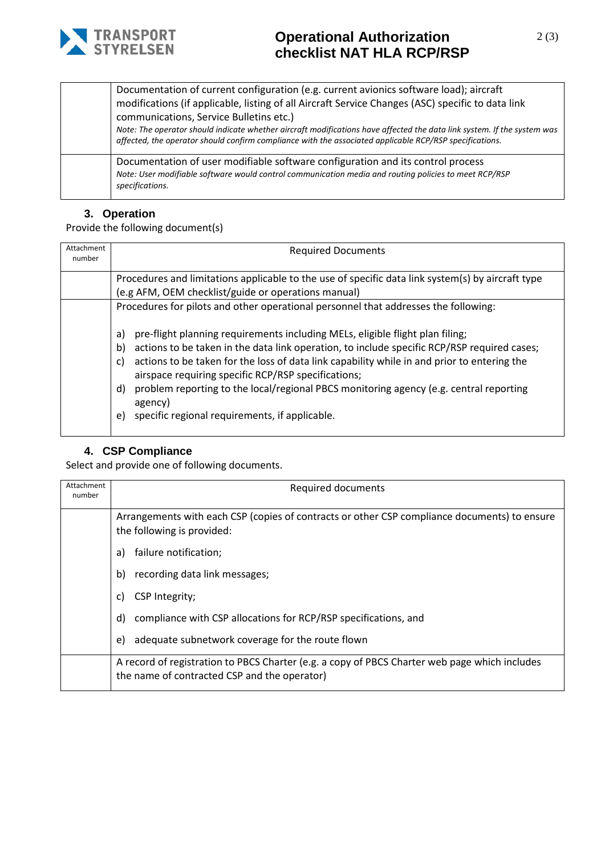

# **Operational Authorization checklist NAT HLA RCP/RSP**

Documentation of current configuration (e.g. current avionics software load); aircraft modifications (if applicable, listing of all Aircraft Service Changes (ASC) specific to data link communications, Service Bulletins etc.) *Note: The operator should indicate whether aircraft modifications have affected the data link system. If the system was affected, the operator should confirm compliance with the associated applicable RCP/RSP specifications.*

Documentation of user modifiable software configuration and its control process *Note: User modifiable software would control communication media and routing policies to meet RCP/RSP specifications.* 

### **3. Operation**

Provide the following document(s)

| <b>Required Documents</b>                                                                                                                                                                                                                                                                                                                                                                                                                                                                                                                                                                                      |
|----------------------------------------------------------------------------------------------------------------------------------------------------------------------------------------------------------------------------------------------------------------------------------------------------------------------------------------------------------------------------------------------------------------------------------------------------------------------------------------------------------------------------------------------------------------------------------------------------------------|
| Procedures and limitations applicable to the use of specific data link system(s) by aircraft type<br>(e.g AFM, OEM checklist/guide or operations manual)                                                                                                                                                                                                                                                                                                                                                                                                                                                       |
| Procedures for pilots and other operational personnel that addresses the following:<br>pre-flight planning requirements including MELs, eligible flight plan filing;<br>a)<br>actions to be taken in the data link operation, to include specific RCP/RSP required cases;<br>b)<br>actions to be taken for the loss of data link capability while in and prior to entering the<br>C)<br>airspace requiring specific RCP/RSP specifications;<br>problem reporting to the local/regional PBCS monitoring agency (e.g. central reporting<br>d)<br>agency)<br>specific regional requirements, if applicable.<br>e) |
|                                                                                                                                                                                                                                                                                                                                                                                                                                                                                                                                                                                                                |

### **4. CSP Compliance**

Select and provide one of following documents.

| Attachment<br>number | Required documents                                                                                                                            |
|----------------------|-----------------------------------------------------------------------------------------------------------------------------------------------|
|                      | Arrangements with each CSP (copies of contracts or other CSP compliance documents) to ensure<br>the following is provided:                    |
|                      | failure notification;<br>a)                                                                                                                   |
|                      | recording data link messages;<br>b)                                                                                                           |
|                      | CSP Integrity;<br>C)                                                                                                                          |
|                      | compliance with CSP allocations for RCP/RSP specifications, and<br>d)                                                                         |
|                      | adequate subnetwork coverage for the route flown<br>e)                                                                                        |
|                      | A record of registration to PBCS Charter (e.g. a copy of PBCS Charter web page which includes<br>the name of contracted CSP and the operator) |